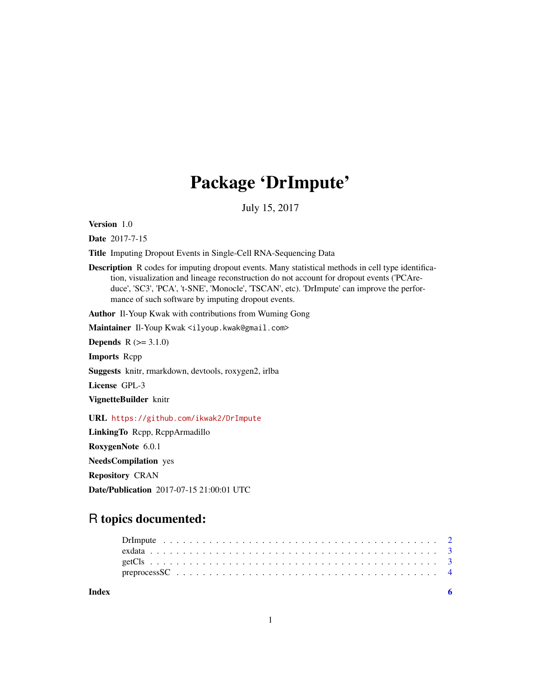# Package 'DrImpute'

July 15, 2017

Version 1.0

Date 2017-7-15

Title Imputing Dropout Events in Single-Cell RNA-Sequencing Data

Description R codes for imputing dropout events. Many statistical methods in cell type identification, visualization and lineage reconstruction do not account for dropout events ('PCAreduce', 'SC3', 'PCA', 't-SNE', 'Monocle', 'TSCAN', etc). 'DrImpute' can improve the performance of such software by imputing dropout events.

Author Il-Youp Kwak with contributions from Wuming Gong

Maintainer Il-Youp Kwak <ilyoup.kwak@gmail.com>

**Depends**  $R (= 3.1.0)$ 

Imports Rcpp

Suggests knitr, rmarkdown, devtools, roxygen2, irlba

License GPL-3

VignetteBuilder knitr

URL <https://github.com/ikwak2/DrImpute>

LinkingTo Rcpp, RcppArmadillo

RoxygenNote 6.0.1

NeedsCompilation yes

Repository CRAN

Date/Publication 2017-07-15 21:00:01 UTC

# R topics documented:

**Index** [6](#page-5-0) **6**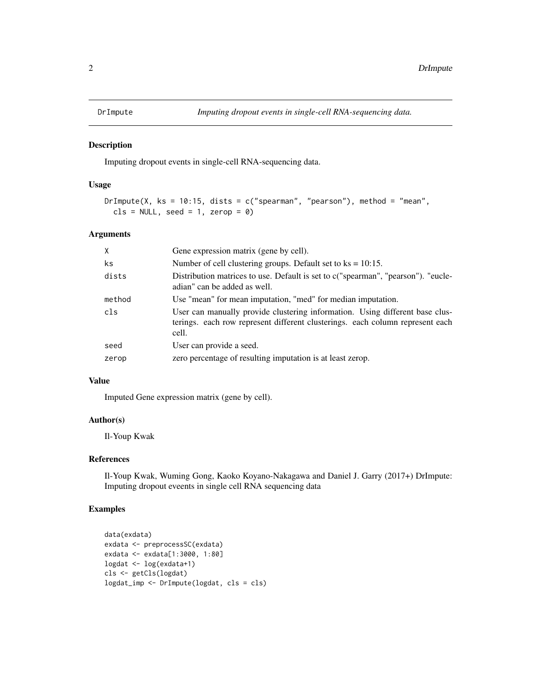<span id="page-1-1"></span><span id="page-1-0"></span>

#### Description

Imputing dropout events in single-cell RNA-sequencing data.

#### Usage

```
DrImpute(X, ks = 10:15, dists = c("spearman", "pearson"), method = "mean",
 cls = NULL, seed = 1, zero = 0)
```
#### Arguments

| X      | Gene expression matrix (gene by cell).                                                                                                                                 |
|--------|------------------------------------------------------------------------------------------------------------------------------------------------------------------------|
| ks     | Number of cell clustering groups. Default set to $ks = 10:15$ .                                                                                                        |
| dists  | Distribution matrices to use. Default is set to c("spearman", "pearson"). "eucle-<br>adian" can be added as well.                                                      |
| method | Use "mean" for mean imputation, "med" for median imputation.                                                                                                           |
| cls    | User can manually provide clustering information. Using different base clus-<br>terings. each row represent different clusterings. each column represent each<br>cell. |
| seed   | User can provide a seed.                                                                                                                                               |
| zerop  | zero percentage of resulting imputation is at least zerop.                                                                                                             |

#### Value

Imputed Gene expression matrix (gene by cell).

# Author(s)

Il-Youp Kwak

#### References

Il-Youp Kwak, Wuming Gong, Kaoko Koyano-Nakagawa and Daniel J. Garry (2017+) DrImpute: Imputing dropout eveents in single cell RNA sequencing data

# Examples

```
data(exdata)
exdata <- preprocessSC(exdata)
exdata <- exdata[1:3000, 1:80]
logdat <- log(exdata+1)
cls <- getCls(logdat)
logdat_imp <- DrImpute(logdat, cls = cls)
```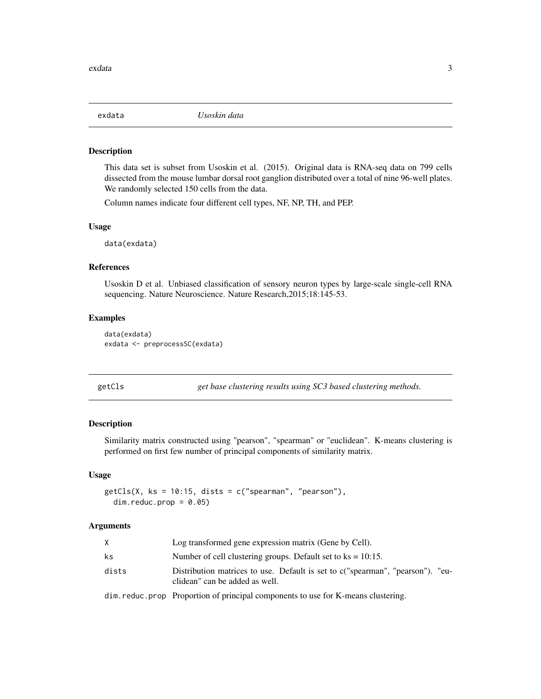<span id="page-2-0"></span>

#### Description

This data set is subset from Usoskin et al. (2015). Original data is RNA-seq data on 799 cells dissected from the mouse lumbar dorsal root ganglion distributed over a total of nine 96-well plates. We randomly selected 150 cells from the data.

Column names indicate four different cell types, NF, NP, TH, and PEP.

#### Usage

data(exdata)

# References

Usoskin D et al. Unbiased classification of sensory neuron types by large-scale single-cell RNA sequencing. Nature Neuroscience. Nature Research,2015;18:145-53.

#### Examples

```
data(exdata)
exdata <- preprocessSC(exdata)
```

get base clustering results using SC3 based clustering methods.

#### Description

Similarity matrix constructed using "pearson", "spearman" or "euclidean". K-means clustering is performed on first few number of principal components of similarity matrix.

#### Usage

```
getCls(X, ks = 10:15, dists = c("spearman", "pearson"),dim.reduc.prop = 0.05)
```
#### Arguments

|       | Log transformed gene expression matrix (Gene by Cell).                                                           |
|-------|------------------------------------------------------------------------------------------------------------------|
| ks    | Number of cell clustering groups. Default set to $ks = 10:15$ .                                                  |
| dists | Distribution matrices to use. Default is set to c("spearman", "pearson"). "eu-<br>clidean" can be added as well. |
|       | alian ang diterminang Dangaranting ng mataning 1 noong ng nganto to tengkan 17 ang ngang-silente ataw            |

dim.reduc.prop Proportion of principal components to use for K-means clustering.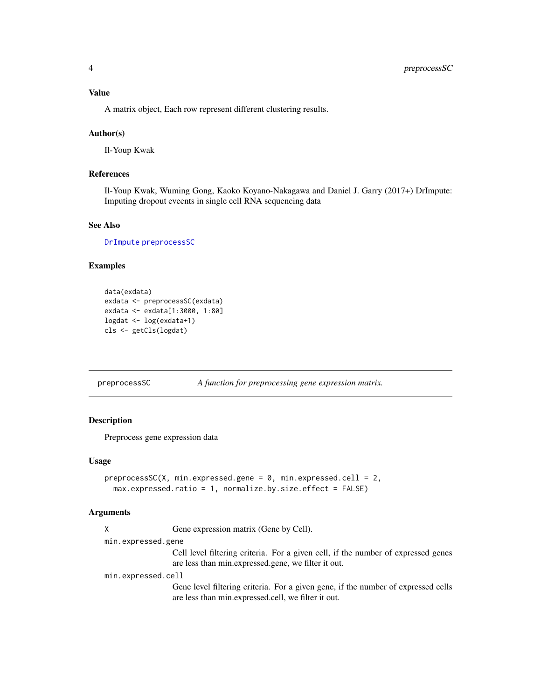<span id="page-3-0"></span>A matrix object, Each row represent different clustering results.

#### Author(s)

Il-Youp Kwak

# References

Il-Youp Kwak, Wuming Gong, Kaoko Koyano-Nakagawa and Daniel J. Garry (2017+) DrImpute: Imputing dropout eveents in single cell RNA sequencing data

#### See Also

[DrImpute](#page-1-1) [preprocessSC](#page-3-1)

#### Examples

```
data(exdata)
exdata <- preprocessSC(exdata)
exdata <- exdata[1:3000, 1:80]
logdat <- log(exdata+1)
cls <- getCls(logdat)
```
<span id="page-3-1"></span>preprocessSC *A function for preprocessing gene expression matrix.*

#### Description

Preprocess gene expression data

#### Usage

```
preprocessSC(X, min.expressed.gene = 0, min.expressed.cell = 2,
 max.expressed.ratio = 1, normalize.by.size.effect = FALSE)
```
#### Arguments

| Gene expression matrix (Gene by Cell). |  |  |
|----------------------------------------|--|--|
|                                        |  |  |

min.expressed.gene

Cell level filtering criteria. For a given cell, if the number of expressed genes are less than min.expressed.gene, we filter it out.

min.expressed.cell

Gene level filtering criteria. For a given gene, if the number of expressed cells are less than min.expressed.cell, we filter it out.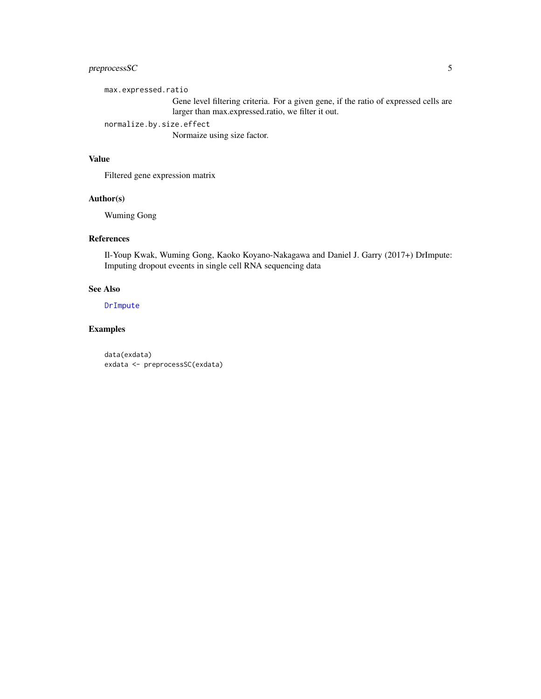# <span id="page-4-0"></span>preprocessSC 5

max.expressed.ratio

Gene level filtering criteria. For a given gene, if the ratio of expressed cells are larger than max.expressed.ratio, we filter it out.

normalize.by.size.effect

Normaize using size factor.

#### Value

Filtered gene expression matrix

# Author(s)

Wuming Gong

# References

Il-Youp Kwak, Wuming Gong, Kaoko Koyano-Nakagawa and Daniel J. Garry (2017+) DrImpute: Imputing dropout eveents in single cell RNA sequencing data

#### See Also

[DrImpute](#page-1-1)

#### Examples

data(exdata) exdata <- preprocessSC(exdata)